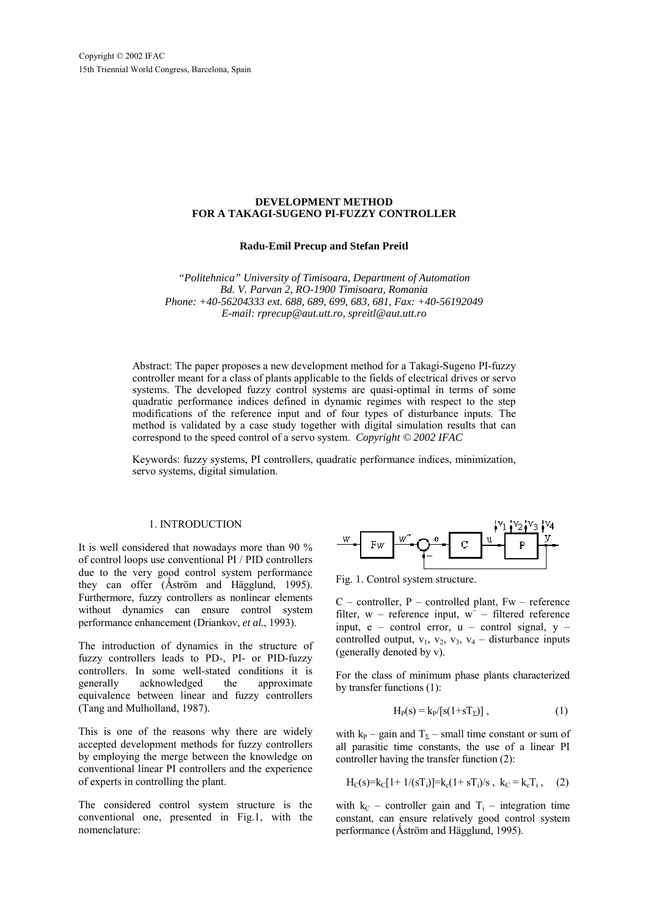# **DEVELOPMENT METHOD FOR A TAKAGI-SUGENO PI-FUZZY CONTROLLER**

**Radu-Emil Precup and Stefan Preitl**

*"Politehnica" University of Timisoara, Department of Automation Bd. V. Parvan 2, RO-1900 Timisoara, Romania Phone: +40-56204333 ext. 688, 689, 699, 683, 681, Fax: +40-56192049 E-mail: rprecup@aut.utt.ro, spreitl@aut.utt.ro*

Abstract: The paper proposes a new development method for a Takagi-Sugeno PI-fuzzy controller meant for a class of plants applicable to the fields of electrical drives or servo systems. The developed fuzzy control systems are quasi-optimal in terms of some quadratic performance indices defined in dynamic regimes with respect to the step modifications of the reference input and of four types of disturbance inputs. The method is validated by a case study together with digital simulation results that can correspond to the speed control of a servo system. *Copyright © 2002 IFAC*

Keywords: fuzzy systems, PI controllers, quadratic performance indices, minimization, servo systems, digital simulation.

## 1. INTRODUCTION

It is well considered that nowadays more than 90 % of control loops use conventional PI / PID controllers due to the very good control system performance they can offer (Åström and Hägglund, 1995). Furthermore, fuzzy controllers as nonlinear elements without dynamics can ensure control system performance enhancement (Driankov, *et al.*, 1993).

The introduction of dynamics in the structure of fuzzy controllers leads to PD-, PI- or PID-fuzzy controllers. In some well-stated conditions it is generally acknowledged the approximate equivalence between linear and fuzzy controllers (Tang and Mulholland, 1987).

This is one of the reasons why there are widely accepted development methods for fuzzy controllers by employing the merge between the knowledge on conventional linear PI controllers and the experience of experts in controlling the plant.

The considered control system structure is the conventional one, presented in Fig.1, with the nomenclature:



Fig. 1. Control system structure.

 $C$  – controller, P – controlled plant, Fw – reference filter, w – reference input,  $w^{\dagger}$  – filtered reference input,  $e -$  control error,  $u -$  control signal,  $v$ controlled output,  $v_1$ ,  $v_2$ ,  $v_3$ ,  $v_4$  – disturbance inputs (generally denoted by v).

For the class of minimum phase plants characterized by transfer functions (1):

$$
H_P(s) = k_P/[s(1+sT_\Sigma)],\qquad (1)
$$

with  $k_P$  – gain and  $T_\Sigma$  – small time constant or sum of all parasitic time constants, the use of a linear PI controller having the transfer function (2):

$$
H_C(s)=k_C[1+1/(sT_i)]=k_c(1+sT_i)/s
$$
,  $k_C=k_cT_i$ , (2)

with  $k_C$  – controller gain and  $T_i$  – integration time constant, can ensure relatively good control system performance (Åström and Hägglund, 1995).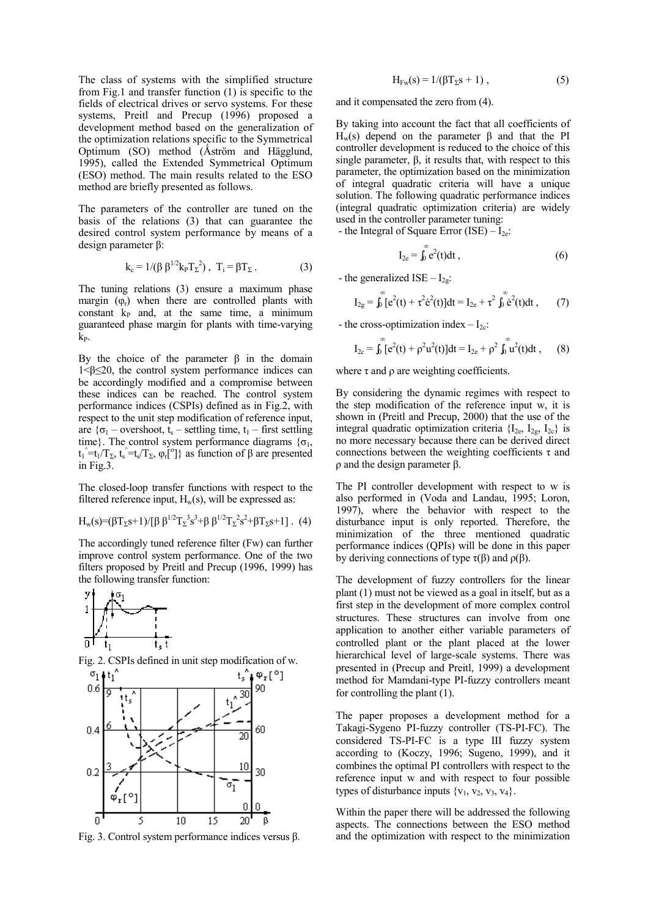The class of systems with the simplified structure from Fig.1 and transfer function (1) is specific to the fields of electrical drives or servo systems. For these systems, Preitl and Precup (1996) proposed a development method based on the generalization of the optimization relations specific to the Symmetrical Optimum (SO) method (Åström and Hägglund, 1995), called the Extended Symmetrical Optimum (ESO) method. The main results related to the ESO method are briefly presented as follows.

The parameters of the controller are tuned on the basis of the relations (3) that can guarantee the desired control system performance by means of a design parameter β:

$$
k_c = 1/(\beta \beta^{1/2} k_P T_{\Sigma}^2), T_i = \beta T_{\Sigma}.
$$
 (3)

The tuning relations (3) ensure a maximum phase margin  $(\varphi_r)$  when there are controlled plants with constant  $k<sub>P</sub>$  and, at the same time, a minimum guaranteed phase margin for plants with time-varying kP.

By the choice of the parameter  $β$  in the domain 1<β≤20, the control system performance indices can be accordingly modified and a compromise between these indices can be reached. The control system performance indices (CSPIs) defined as in Fig.2, with respect to the unit step modification of reference input, are  $\{\sigma_1$  – overshoot, t<sub>s</sub> – settling time, t<sub>1</sub> – first settling time}. The control system performance diagrams  $\{\sigma_1,$  $t_1^{\hat{i}} = t_1/T_{\Sigma}$ ,  $t_3^{\hat{i}} = t_5/T_{\Sigma}$ ,  $\varphi_t[^{\circ}]$ } as function of β are presented in Fig.3.

The closed-loop transfer functions with respect to the filtered reference input,  $H_w(s)$ , will be expressed as:

$$
H_w(s)=(\beta T_{\Sigma} s+1)/[\beta \beta^{1/2} T_{\Sigma}^3 s^3+\beta \beta^{1/2} T_{\Sigma}^2 s^2+\beta T_{\Sigma} s+1].
$$
 (4)

The accordingly tuned reference filter (Fw) can further improve control system performance. One of the two filters proposed by Preitl and Precup (1996, 1999) has the following transfer function:







Fig. 3. Control system performance indices versus β.

$$
H_{\mathrm{Fw}}(s) = 1/(\beta T_{\Sigma} s + 1) , \qquad (5)
$$

and it compensated the zero from (4).

By taking into account the fact that all coefficients of Hw(s) depend on the parameter β and that the PI controller development is reduced to the choice of this single parameter, β, it results that, with respect to this parameter, the optimization based on the minimization of integral quadratic criteria will have a unique solution. The following quadratic performance indices (integral quadratic optimization criteria) are widely used in the controller parameter tuning:

- the Integral of Square Error (ISE)  $- I_{2e}$ : ∞∞∞∞∞∞∞∞∞∞∞∞∞∞∞

$$
I_{2e} = \int_0^{\infty} e^2(t) dt , \qquad (6)
$$

- the generalized ISE –  $I_{2g}$ :

$$
I_{2g} = \int_0^{\infty} [e^2(t) + \tau^2 \dot{e}^2(t)] dt = I_{2e} + \tau^2 \int_0^{\infty} \dot{e}^2(t) dt , \qquad (7)
$$

- the cross-optimization index  $-I_{2c}$ :

$$
I_{2c} = \int_0^{\infty} [e^2(t) + \rho^2 u^2(t)]dt = I_{2e} + \rho^2 \int_0^{\infty} u^2(t)dt , \qquad (8)
$$

where  $\tau$  and  $\rho$  are weighting coefficients.

By considering the dynamic regimes with respect to the step modification of the reference input w, it is shown in (Preitl and Precup, 2000) that the use of the integral quadratic optimization criteria  ${I_{2e, I_{2g, I_{2c}}}$  is no more necessary because there can be derived direct connections between the weighting coefficients  $\tau$  and ρ and the design parameter β.

The PI controller development with respect to w is also performed in (Voda and Landau, 1995; Loron, 1997), where the behavior with respect to the disturbance input is only reported. Therefore, the minimization of the three mentioned quadratic performance indices (QPIs) will be done in this paper by deriving connections of type  $\tau(\beta)$  and  $\rho(\beta)$ .

The development of fuzzy controllers for the linear plant (1) must not be viewed as a goal in itself, but as a first step in the development of more complex control structures. These structures can involve from one application to another either variable parameters of controlled plant or the plant placed at the lower hierarchical level of large-scale systems. There was presented in (Precup and Preitl, 1999) a development method for Mamdani-type PI-fuzzy controllers meant for controlling the plant (1).

The paper proposes a development method for a Takagi-Sygeno PI-fuzzy controller (TS-PI-FC). The considered TS-PI-FC is a type III fuzzy system according to (Koczy, 1996; Sugeno, 1999), and it combines the optimal PI controllers with respect to the reference input w and with respect to four possible types of disturbance inputs  $\{v_1, v_2, v_3, v_4\}.$ 

Within the paper there will be addressed the following aspects. The connections between the ESO method and the optimization with respect to the minimization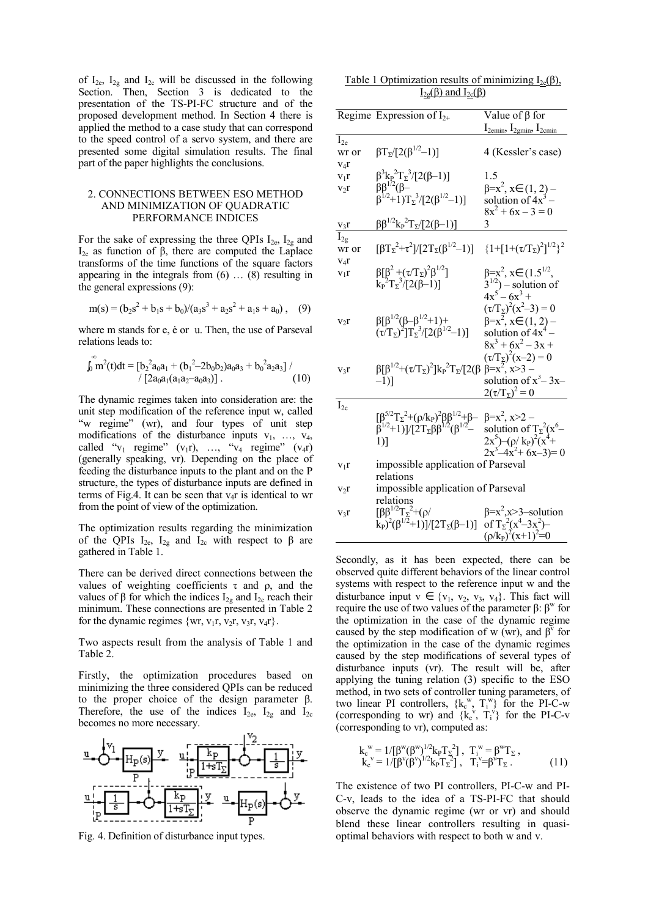of  $I_{2e}$ ,  $I_{2g}$  and  $I_{2c}$  will be discussed in the following Section. Then, Section 3 is dedicated to the presentation of the TS-PI-FC structure and of the proposed development method. In Section 4 there is applied the method to a case study that can correspond to the speed control of a servo system, and there are presented some digital simulation results. The final part of the paper highlights the conclusions.

## 2. CONNECTIONS BETWEEN ESO METHOD AND MINIMIZATION OF QUADRATIC PERFORMANCE INDICES

For the sake of expressing the three QPIs  $I_{2e}$ ,  $I_{2g}$  and I2c as function of β, there are computed the Laplace transforms of the time functions of the square factors appearing in the integrals from (6) … (8) resulting in the general expressions (9):

$$
m(s) = (b_2s^2 + b_1s + b_0)/(a_3s^3 + a_2s^2 + a_1s + a_0),
$$
 (9)

where m stands for e, ė or u. Then, the use of Parseval relations leads to:

<sup>∞</sup>

$$
\int_0 \mathbf{m}^2(t)dt = \left[ b_2^2 a_0 a_1 + (b_1^2 - 2b_0 b_2) a_0 a_3 + b_0^2 a_2 a_3 \right] / (10)
$$

The dynamic regimes taken into consideration are: the unit step modification of the reference input w, called "w regime" (wr), and four types of unit step modifications of the disturbance inputs  $v_1$ , ...,  $v_4$ , called " $v_1$  regime" ( $v_1r$ ), ..., " $v_4$  regime" ( $v_4r$ ) (generally speaking, vr). Depending on the place of feeding the disturbance inputs to the plant and on the P structure, the types of disturbance inputs are defined in terms of Fig.4. It can be seen that  $v<sub>4</sub>r$  is identical to wr from the point of view of the optimization.

The optimization results regarding the minimization of the QPIs  $I_{2e}$ ,  $I_{2g}$  and  $I_{2c}$  with respect to  $\beta$  are gathered in Table 1.

There can be derived direct connections between the values of weighting coefficients  $τ$  and  $ρ$ , and the values of β for which the indices  $I_{2g}$  and  $I_{2c}$  reach their minimum. These connections are presented in Table 2 for the dynamic regimes  $\{wr, v_1r, v_2r, v_3r, v_4r\}.$ 

Two aspects result from the analysis of Table 1 and Table 2.

Firstly, the optimization procedures based on minimizing the three considered QPIs can be reduced to the proper choice of the design parameter β. Therefore, the use of the indices  $I_{2e}$ ,  $I_{2g}$  and  $I_{2c}$ becomes no more necessary.



Fig. 4. Definition of disturbance input types.

| Table 1 Optimization results of minimizing $I_{2e}(\beta)$ , |
|--------------------------------------------------------------|
| $I_{2g}(\beta)$ and $I_{2c}(\beta)$                          |

|                  | Regime Expression of $I_{2+}$                                                                                                                                      | Value of $\beta$ for                                   |
|------------------|--------------------------------------------------------------------------------------------------------------------------------------------------------------------|--------------------------------------------------------|
|                  |                                                                                                                                                                    | $I_{2emin}$ , $I_{2emin}$ , $I_{2emin}$                |
| $I_{2e}$         |                                                                                                                                                                    |                                                        |
| wr or            | $\beta T_2/[2(\beta^{1/2}-1)]$                                                                                                                                     | 4 (Kessler's case)                                     |
| $V_4r$           |                                                                                                                                                                    |                                                        |
| $V_1r$           |                                                                                                                                                                    | 1.5                                                    |
| $v_2r$           | $\beta^3 k_P^2 T_2^3/[2(\beta-1)]$<br>$\beta \beta^{1/2}$ ( $\beta$ -                                                                                              | $\beta = x^2$ , $x \in (1, 2)$ -                       |
|                  | $\beta^{1/2}$ +1)T <sub>2</sub> <sup>3</sup> /[2( $\beta^{1/2}$ -1)]                                                                                               | solution of $4x^3$ –                                   |
|                  |                                                                                                                                                                    | $8x^2 + 6x - 3 = 0$                                    |
|                  |                                                                                                                                                                    | 3                                                      |
| $v_3r$           | $ββ^{1/2}kP2TΣ/[2(β-1)]$                                                                                                                                           |                                                        |
| $I_{2g}$         |                                                                                                                                                                    |                                                        |
| wr or            | $[\beta T_{\Sigma}^2+\tau^2]/[2T_{\Sigma}(\beta^{1/2}-1)]$                                                                                                         | ${1+[1+(\tau/T_{\Sigma})^2]^{1/2}}^2$                  |
| $V_4r$           |                                                                                                                                                                    |                                                        |
| $v_1r$           | $β[β2 + (τ/TΣ)2β1/2]$                                                                                                                                              | $\beta = x^2$ , $x \in (1.5^{1/2},$                    |
|                  | $k_{P}^{2}T_{\Sigma}^{3}/[2(\beta-1)]$                                                                                                                             |                                                        |
|                  |                                                                                                                                                                    | $3^{1/2}$ ) – solution of<br>$4x^5 - 6x^3 +$           |
|                  |                                                                                                                                                                    | $(\tau/T_{\Sigma})^2(x^2-3)=0$                         |
| $v_2r$           | $\beta[\beta^{1/2}(\beta-\beta^{1/2}_{2}+1)+$                                                                                                                      |                                                        |
|                  | $(\tau/T_{\Sigma})^2]T_{\Sigma}^3/[2(\hat{\beta}^{1/2}-1)]$                                                                                                        | $\beta=x^2$ , $x \in (1, 2)$ –<br>solution of $4x^4$ – |
|                  |                                                                                                                                                                    | $8x^3 + 6x^2 - 3x +$                                   |
|                  |                                                                                                                                                                    |                                                        |
|                  |                                                                                                                                                                    | $(\tau/T_{\overline{\lambda}})^2(x-2) = 0$             |
| $v_3r$           | $\beta[\beta^{1/2}+(\tau/T_{\Sigma})^2]k_{\rm P}^2T_{\Sigma}/[2(\beta$                                                                                             | $\beta = x^2, x > 3 -$                                 |
|                  | $-1$ )]                                                                                                                                                            | solution of $x^3$ – 3x–                                |
|                  |                                                                                                                                                                    | $2(\tau/T_{\Sigma})^2=0$                               |
| $I_{2c}$         |                                                                                                                                                                    |                                                        |
|                  |                                                                                                                                                                    |                                                        |
|                  | $[\beta^{5/2}T_{\Sigma}^2+(\rho/k_{\rm p})^2\beta\beta^{1/2}+\beta-\beta=x^2, x>2-\beta^{1/2}+1)]/[2T_{\Sigma}\beta\beta^{1/2}(\beta^{1/2}-\text{ solution of })]$ |                                                        |
|                  | $1)$ ]                                                                                                                                                             | solution of $T_2^2(x^6-2x^5)$ - $(\rho x^6)$           |
|                  |                                                                                                                                                                    | $2x^3-4x^2+6x-3=0$                                     |
| $v_1r$           | impossible application of Parseval                                                                                                                                 |                                                        |
|                  | relations                                                                                                                                                          |                                                        |
|                  | impossible application of Parseval                                                                                                                                 |                                                        |
| v <sub>2</sub> r | relations                                                                                                                                                          |                                                        |
|                  |                                                                                                                                                                    |                                                        |
| $v_3r$           | [ββ <sup>1/2</sup> Τ <sub>Σ</sub> <sup>2</sup> +(ρ/                                                                                                                | $\beta=x^2, x>3$ -solution                             |
|                  | $(k_P)^2(\beta^{1/2}+1)]/[2T_{\Sigma}(\beta-1)]$                                                                                                                   | of $T_{\Sigma}^2(x^4-3x^2)$ -                          |
|                  |                                                                                                                                                                    | $(\rho/k_P)^2(x+1)^2=0$                                |

Secondly, as it has been expected, there can be observed quite different behaviors of the linear control systems with respect to the reference input w and the disturbance input  $v \in \{v_1, v_2, v_3, v_4\}$ . This fact will require the use of two values of the parameter β:  $\beta^w$  for the optimization in the case of the dynamic regime caused by the step modification of w (wr), and  $\beta^{\nu}$  for the optimization in the case of the dynamic regimes caused by the step modifications of several types of disturbance inputs (vr). The result will be, after applying the tuning relation (3) specific to the ESO method, in two sets of controller tuning parameters, of two linear PI controllers,  $\{k_c^w, T_i^w\}$  for the PI-C-w (corresponding to wr) and  $\{k_c^{\mathbf{v}}, \mathbf{T}_i^{\mathbf{v}}\}$  for the PI-C-v (corresponding to vr), computed as:

$$
k_c^{\text{w}} = 1/[\beta^{\text{w}}(\beta^{\text{w}})^{1/2} k_p T_{\Sigma}^2], T_i^{\text{w}} = \beta^{\text{w}} T_{\Sigma}, k_c^{\text{v}} = 1/[\beta^{\text{v}}(\beta^{\text{v}})^{1/2} k_p T_{\Sigma}^2], T_i^{\text{v}} = \beta^{\text{v}} T_{\Sigma}. \tag{11}
$$

The existence of two PI controllers, PI-C-w and PI-C-v, leads to the idea of a TS-PI-FC that should observe the dynamic regime (wr or vr) and should blend these linear controllers resulting in quasioptimal behaviors with respect to both w and v.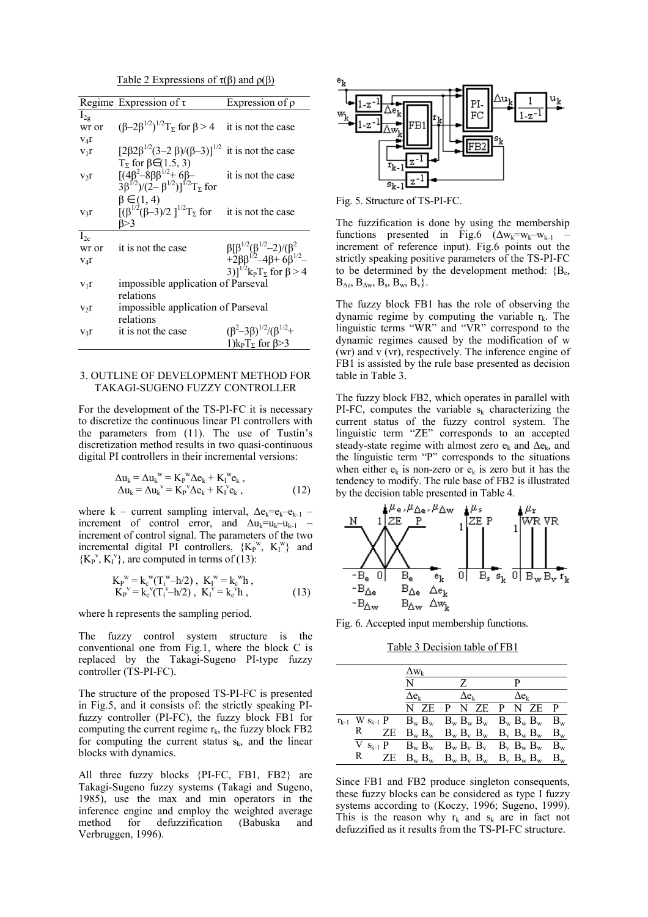Table 2 Expressions of  $\tau(\beta)$  and  $\rho(\beta)$ 

|               | Regime Expression of $\tau$                                                                     | Expression of $\rho$                                                               |
|---------------|-------------------------------------------------------------------------------------------------|------------------------------------------------------------------------------------|
| $I_{2g}$      |                                                                                                 |                                                                                    |
| wr or         | $(\beta - 2\beta^{1/2})^{1/2}$ <sub>2</sub> for $\beta > 4$ it is not the case                  |                                                                                    |
| $V_4r$        |                                                                                                 |                                                                                    |
| $V_1r$        | $[2\beta2\beta^{1/2}(3-2\beta)/(\beta-3)]^{1/2}$ it is not the case                             |                                                                                    |
|               | $T_{\Sigma}$ for $\beta \in (1.5, 3)$                                                           |                                                                                    |
| V2r           | $[(4\beta^2-8\beta\beta^{1/2}+6\beta-$<br>3 $\beta^{1/2})/(2-\beta^{1/2})]^{1/2}T_{\Sigma}$ for | it is not the case                                                                 |
|               |                                                                                                 |                                                                                    |
|               | $\beta \in (1, 4)$                                                                              |                                                                                    |
| $V3$ $\Gamma$ | $[(\beta^{1/2}(\beta-3)/2)]^{1/2}T_{\Sigma}$ for it is not the case                             |                                                                                    |
|               | ß>3                                                                                             |                                                                                    |
| $I_{2c}$      |                                                                                                 |                                                                                    |
| wr or         | it is not the case                                                                              | $\beta[\beta^{1/2}(\beta^{1/2}-2)/(\beta^2+2\beta\beta^{1/2}-4\beta+6\beta^{1/2}-$ |
| $V_4r$        |                                                                                                 |                                                                                    |
|               |                                                                                                 | 3)] <sup>1/2</sup> $k_{p}T_{\rm y}$ for $\beta$ > 4                                |
| $V_1r$        | impossible application of Parseval                                                              |                                                                                    |
|               | relations                                                                                       |                                                                                    |
| V2r           | impossible application of Parseval                                                              |                                                                                    |
|               | relations                                                                                       |                                                                                    |
| $V_3r$        | it is not the case                                                                              | $(\beta^2-3\beta)^{1/2}/(\beta^{1/2}+$                                             |
|               |                                                                                                 | 1) $k_{P}T_{\Sigma}$ for $\beta$ >3                                                |

# 3. OUTLINE OF DEVELOPMENT METHOD FOR TAKAGI-SUGENO FUZZY CONTROLLER

For the development of the TS-PI-FC it is necessary to discretize the continuous linear PI controllers with the parameters from (11). The use of Tustin's discretization method results in two quasi-continuous digital PI controllers in their incremental versions:

$$
\Delta u_k = \Delta u_k^{\text{w}} = K_p^{\text{w}} \Delta e_k + K_l^{\text{w}} e_k ,
$$
  
\n
$$
\Delta u_k = \Delta u_k^{\text{v}} = K_p^{\text{v}} \Delta e_k + K_l^{\text{v}} e_k ,
$$
\n(12)

where k – current sampling interval,  $\Delta e_k = e_k - e_{k-1}$ increment of control error, and  $\Delta u_k = u_{k-1}$  – increment of control signal. The parameters of the two incremental digital PI controllers,  ${K_P}^w$ ,  ${K_I}^w$  and  ${K_P}^v, K_I^v$ , are computed in terms of (13):

$$
K_{P}^{w} = k_{c}^{w}(T_{i}^{w} - h/2), K_{I}^{w} = k_{c}^{w}h,
$$
  
\n
$$
K_{P}^{v} = k_{c}^{v}(T_{i}^{v} - h/2), K_{I}^{v} = k_{c}^{v}h,
$$
\n(13)

where h represents the sampling period.

The fuzzy control system structure is the conventional one from Fig.1, where the block C is replaced by the Takagi-Sugeno PI-type fuzzy controller (TS-PI-FC).

The structure of the proposed TS-PI-FC is presented in Fig.5, and it consists of: the strictly speaking PIfuzzy controller (PI-FC), the fuzzy block FB1 for computing the current regime  $r_k$ , the fuzzy block FB2 for computing the current status  $s_k$ , and the linear blocks with dynamics.

All three fuzzy blocks {PI-FC, FB1, FB2} are Takagi-Sugeno fuzzy systems (Takagi and Sugeno, 1985), use the max and min operators in the inference engine and employ the weighted average method for defuzzification (Babuska and Verbruggen, 1996).



Fig. 5. Structure of TS-PI-FC.

The fuzzification is done by using the membership functions presented in Fig.6  $(\Delta w_k = w_k - w_{k-1})$ increment of reference input). Fig.6 points out the strictly speaking positive parameters of the TS-PI-FC to be determined by the development method:  ${B_{e}}$ ,  $B_{\Delta e}$ ,  $B_{\Delta w}$ ,  $B_s$ ,  $B_w$ ,  $B_v$ .

The fuzzy block FB1 has the role of observing the dynamic regime by computing the variable  $r_k$ . The linguistic terms "WR" and "VR" correspond to the dynamic regimes caused by the modification of w (wr) and v (vr), respectively. The inference engine of FB1 is assisted by the rule base presented as decision table in Table 3.

The fuzzy block FB2, which operates in parallel with PI-FC, computes the variable  $s_k$  characterizing the current status of the fuzzy control system. The linguistic term "ZE" corresponds to an accepted steady-state regime with almost zero  $e_k$  and  $\Delta e_k$ , and the linguistic term "P" corresponds to the situations when either  $e_k$  is non-zero or  $e_k$  is zero but it has the tendency to modify. The rule base of FB2 is illustrated by the decision table presented in Table 4.



Fig. 6. Accepted input membership functions.

Table 3 Decision table of FB1

|   | $\Delta w_k$                     |                                |                                                                   |  |
|---|----------------------------------|--------------------------------|-------------------------------------------------------------------|--|
|   |                                  | Z                              |                                                                   |  |
|   | $\Delta \mathrm{e_{\mathrm{k}}}$ | $\Delta \mathrm{e}_\mathrm{k}$ | $\Delta e_k$                                                      |  |
|   | N ZE                             | P                              | N ZEPN ZEP                                                        |  |
|   |                                  |                                |                                                                   |  |
| R |                                  |                                | ZE $B_w$ $B_w$ $B_w$ $B_v$ $B_w$ $B_v$ $B_w$ $B_w$ $B_w$          |  |
|   |                                  |                                | $V$ $s_{k-1}$ $P$ $B_w$ $B_w$ $B_w$ $B_v$ $B_v$ $B_w$ $B_w$ $B_w$ |  |
| R |                                  |                                | ZE $B_w$ $B_w$ $B_w$ $B_v$ $B_w$ $B_v$ $B_w$ $B_w$ $B_w$          |  |

Since FB1 and FB2 produce singleton consequents, these fuzzy blocks can be considered as type I fuzzy systems according to (Koczy, 1996; Sugeno, 1999). This is the reason why  $r_k$  and  $s_k$  are in fact not defuzzified as it results from the TS-PI-FC structure.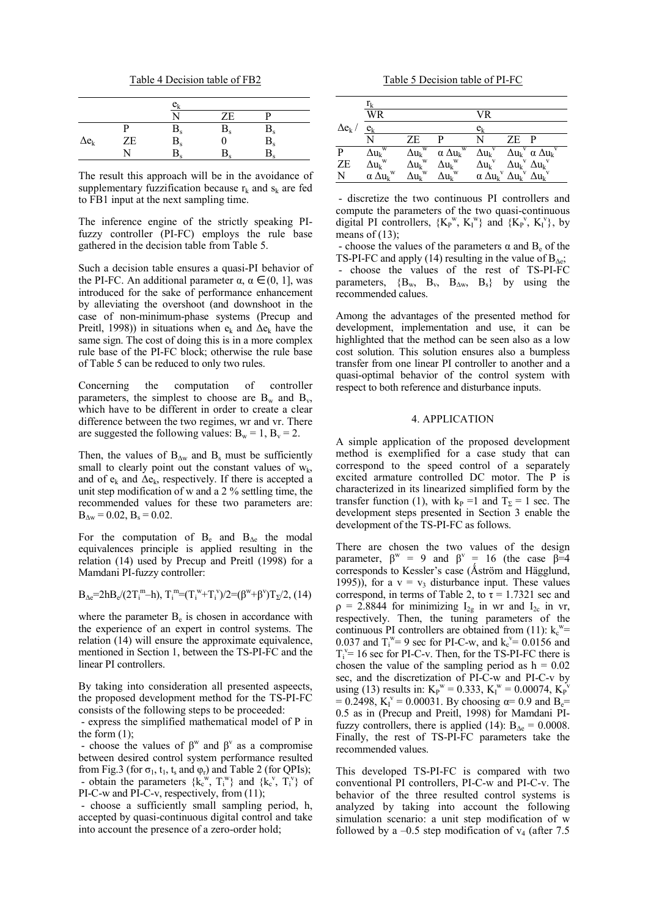Table 4 Decision table of FB2

|              |    | $\mathrm{e_{k}}$  |         |                   |  |
|--------------|----|-------------------|---------|-------------------|--|
|              |    | ٦T                | ZΕ      |                   |  |
|              |    |                   | $B_{s}$ |                   |  |
| $\Delta e_k$ | ZE | $\frac{B_s}{B_s}$ |         | $\frac{B_s}{B_s}$ |  |
|              |    | D,                | D,      |                   |  |

The result this approach will be in the avoidance of supplementary fuzzification because  $r_k$  and  $s_k$  are fed to FB1 input at the next sampling time.

The inference engine of the strictly speaking PIfuzzy controller (PI-FC) employs the rule base gathered in the decision table from Table 5.

Such a decision table ensures a quasi-PI behavior of the PI-FC. An additional parameter  $\alpha$ ,  $\alpha \in (0, 1]$ , was introduced for the sake of performance enhancement by alleviating the overshoot (and downshoot in the case of non-minimum-phase systems (Precup and Preitl, 1998)) in situations when  $e_k$  and  $\Delta e_k$  have the same sign. The cost of doing this is in a more complex rule base of the PI-FC block; otherwise the rule base of Table 5 can be reduced to only two rules.

Concerning the computation of controller parameters, the simplest to choose are  $B_w$  and  $B_v$ , which have to be different in order to create a clear difference between the two regimes, wr and vr. There are suggested the following values:  $B_w = 1$ ,  $B_v = 2$ .

Then, the values of  $B_{\Delta w}$  and  $B_s$  must be sufficiently small to clearly point out the constant values of  $w_k$ , and of  $e_k$  and  $\Delta e_k$ , respectively. If there is accepted a unit step modification of w and a 2 % settling time, the recommended values for these two parameters are:  $B_{\Delta w} = 0.02$ ,  $B_s = 0.02$ .

For the computation of  $B_e$  and  $B_{\Lambda e}$  the modal equivalences principle is applied resulting in the relation (14) used by Precup and Preitl (1998) for a Mamdani PI-fuzzy controller:

$$
B_{\Delta e} = 2hB_e/(2T_i^m - h), T_i^m = (T_i^w + T_i^v)/2 = (\beta^w + \beta^v)T_{\Sigma}/2, (14)
$$

where the parameter  $B<sub>e</sub>$  is chosen in accordance with the experience of an expert in control systems. The relation (14) will ensure the approximate equivalence, mentioned in Section 1, between the TS-PI-FC and the linear PI controllers.

By taking into consideration all presented aspeects, the proposed development method for the TS-PI-FC consists of the following steps to be proceeded:

 - express the simplified mathematical model of P in the form  $(1)$ ;

- choose the values of  $\beta^w$  and  $\beta^v$  as a compromise between desired control system performance resulted from Fig.3 (for  $\sigma_1$ ,  $t_1$ ,  $t_s$  and  $\phi_r$ ) and Table 2 (for QPIs); - obtain the parameters  $\{k_{c}^{w}, T_{i}^{w}\}\$  and  $\{k_{c}^{v}, T_{i}^{v}\}\$  of

PI-C-w and PI-C-v, respectively, from (11); - choose a sufficiently small sampling period, h,

accepted by quasi-continuous digital control and take into account the presence of a zero-order hold;

Table 5 Decision table of PI-FC

|                | $r_{k}$                              |                              |                           |                                                             |                                       |                                              |
|----------------|--------------------------------------|------------------------------|---------------------------|-------------------------------------------------------------|---------------------------------------|----------------------------------------------|
|                | WR                                   |                              |                           | VR                                                          |                                       |                                              |
| $\Delta e_k$ / | $e_{k}$                              |                              |                           | $e_{k}$                                                     |                                       |                                              |
|                | N                                    | ΖE                           | р                         | N                                                           | ZE P                                  |                                              |
| P              | $\overline{\Delta u_k}^{\mathrm{w}}$ | $\Delta u_k^{\mathrm{w}}$    | $\alpha \Delta u_k^w$     | $\Delta u_k^{\mathrm{v}}$                                   |                                       | $\Delta u_k^{\nu}$ $\alpha \Delta u_k^{\nu}$ |
| ZE             | $\Delta u_k$ <sup>w</sup>            | $\Delta u_k^{\text{w}}$      | $\Delta u_k^{\mathrm{w}}$ | $\Delta u_k^{\mathrm{v}}$                                   | $\Delta u_k^{\nu}$ $\Delta u_k^{\nu}$ |                                              |
| N              | $\alpha \Delta u_k^w$                | $\Delta u_{\rm k}{}^{\rm w}$ | $\Delta u_k$ <sup>w</sup> | $\alpha \Delta u_k^{\nu} \Delta u_k^{\nu} \Delta u_k^{\nu}$ |                                       |                                              |

 - discretize the two continuous PI controllers and compute the parameters of the two quasi-continuous digital PI controllers,  ${K_P}^w$ ,  ${K_I}^w$  and  ${K_P}^v$ ,  ${K_I}^v$ , by means of  $(13)$ :

- choose the values of the parameters  $\alpha$  and  $B_e$  of the TS-PI-FC and apply (14) resulting in the value of  $B_{\text{Ae}}$ ; - choose the values of the rest of TS-PI-FC parameters,  ${B_w, B_v, B_{\Delta w}, B_s}$  by using the recommended calues.

Among the advantages of the presented method for development, implementation and use, it can be highlighted that the method can be seen also as a low cost solution. This solution ensures also a bumpless transfer from one linear PI controller to another and a quasi-optimal behavior of the control system with respect to both reference and disturbance inputs.

#### 4. APPLICATION

A simple application of the proposed development method is exemplified for a case study that can correspond to the speed control of a separately excited armature controlled DC motor. The P is characterized in its linearized simplified form by the transfer function (1), with k<sub>P</sub> =1 and T<sub>Σ</sub> = 1 sec. The development steps presented in Section 3 enable the development of the TS-PI-FC as follows.

There are chosen the two values of the design parameter,  $\beta^w = 9$  and  $\beta^v = 16$  (the case  $\beta = 4$ corresponds to Kessler's case (Åström and Hägglund, 1995)), for a  $v = v_3$  disturbance input. These values correspond, in terms of Table 2, to  $\tau$  = 1.7321 sec and  $\rho = 2.8844$  for minimizing  $I_{2g}$  in wr and  $I_{2c}$  in vr, respectively. Then, the tuning parameters of the continuous PI controllers are obtained from (11):  $k_c$ <sup>w</sup>= 0.037 and  $T_i^w = 9$  sec for PI-C-w, and  $k_c^v = 0.0156$  and  $T_i^{\nu}$  = 16 sec for PI-C-v. Then, for the TS-PI-FC there is chosen the value of the sampling period as  $h = 0.02$ sec, and the discretization of PI-C-w and PI-C-v by using (13) results in:  $K_P$ <sup>w</sup> = 0.333,  $K_I$ <sup>w</sup> = 0.00074,  $K_P^{\nu}$  $= 0.2498$ ,  $K_I^v = 0.00031$ . By choosing  $\alpha = 0.9$  and  $B_e =$ 0.5 as in (Precup and Preitl, 1998) for Mamdani PIfuzzy controllers, there is applied (14):  $B_{\Delta e} = 0.0008$ . Finally, the rest of TS-PI-FC parameters take the recommended values.

This developed TS-PI-FC is compared with two conventional PI controllers, PI-C-w and PI-C-v. The behavior of the three resulted control systems is analyzed by taking into account the following simulation scenario: a unit step modification of w followed by a  $-0.5$  step modification of  $v_4$  (after 7.5)